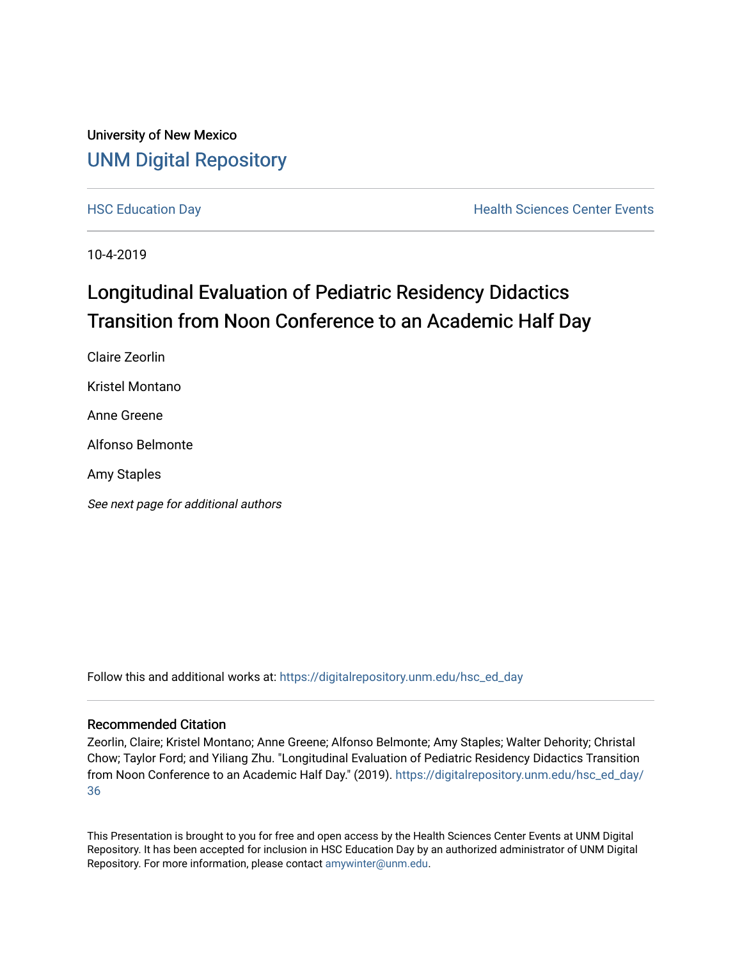## University of New Mexico [UNM Digital Repository](https://digitalrepository.unm.edu/)

[HSC Education Day](https://digitalrepository.unm.edu/hsc_ed_day) **Health Sciences Center Events** 

10-4-2019

# Longitudinal Evaluation of Pediatric Residency Didactics Transition from Noon Conference to an Academic Half Day

Claire Zeorlin Kristel Montano Anne Greene Alfonso Belmonte Amy Staples See next page for additional authors

Follow this and additional works at: [https://digitalrepository.unm.edu/hsc\\_ed\\_day](https://digitalrepository.unm.edu/hsc_ed_day?utm_source=digitalrepository.unm.edu%2Fhsc_ed_day%2F36&utm_medium=PDF&utm_campaign=PDFCoverPages) 

#### Recommended Citation

Zeorlin, Claire; Kristel Montano; Anne Greene; Alfonso Belmonte; Amy Staples; Walter Dehority; Christal Chow; Taylor Ford; and Yiliang Zhu. "Longitudinal Evaluation of Pediatric Residency Didactics Transition from Noon Conference to an Academic Half Day." (2019). [https://digitalrepository.unm.edu/hsc\\_ed\\_day/](https://digitalrepository.unm.edu/hsc_ed_day/36?utm_source=digitalrepository.unm.edu%2Fhsc_ed_day%2F36&utm_medium=PDF&utm_campaign=PDFCoverPages) [36](https://digitalrepository.unm.edu/hsc_ed_day/36?utm_source=digitalrepository.unm.edu%2Fhsc_ed_day%2F36&utm_medium=PDF&utm_campaign=PDFCoverPages)

This Presentation is brought to you for free and open access by the Health Sciences Center Events at UNM Digital Repository. It has been accepted for inclusion in HSC Education Day by an authorized administrator of UNM Digital Repository. For more information, please contact [amywinter@unm.edu](mailto:amywinter@unm.edu).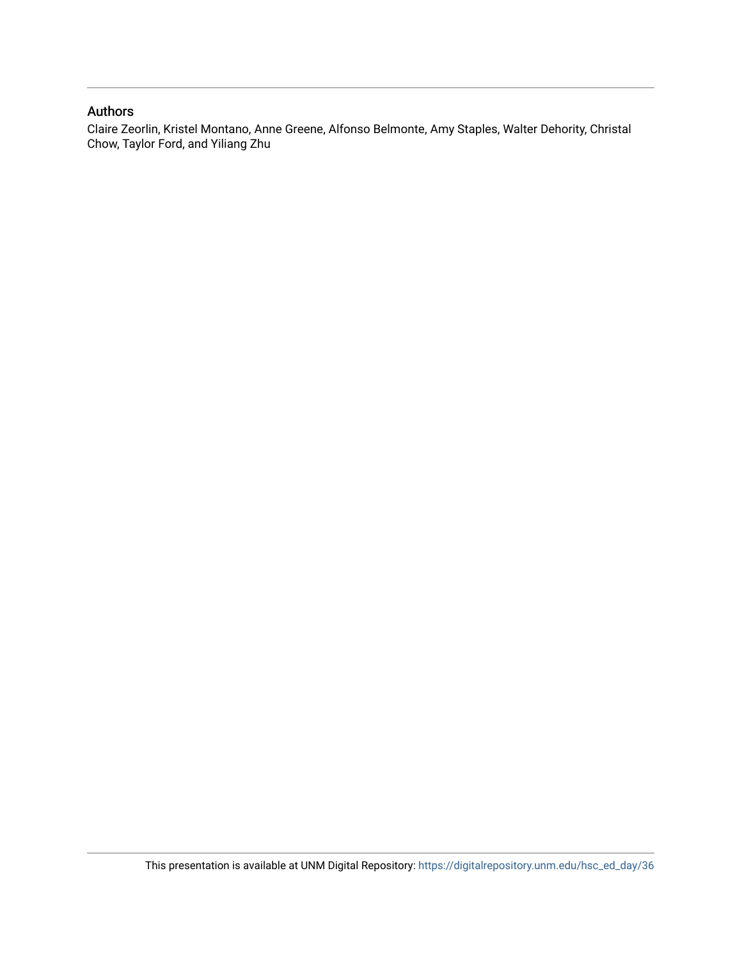### Authors

Claire Zeorlin, Kristel Montano, Anne Greene, Alfonso Belmonte, Amy Staples, Walter Dehority, Christal Chow, Taylor Ford, and Yiliang Zhu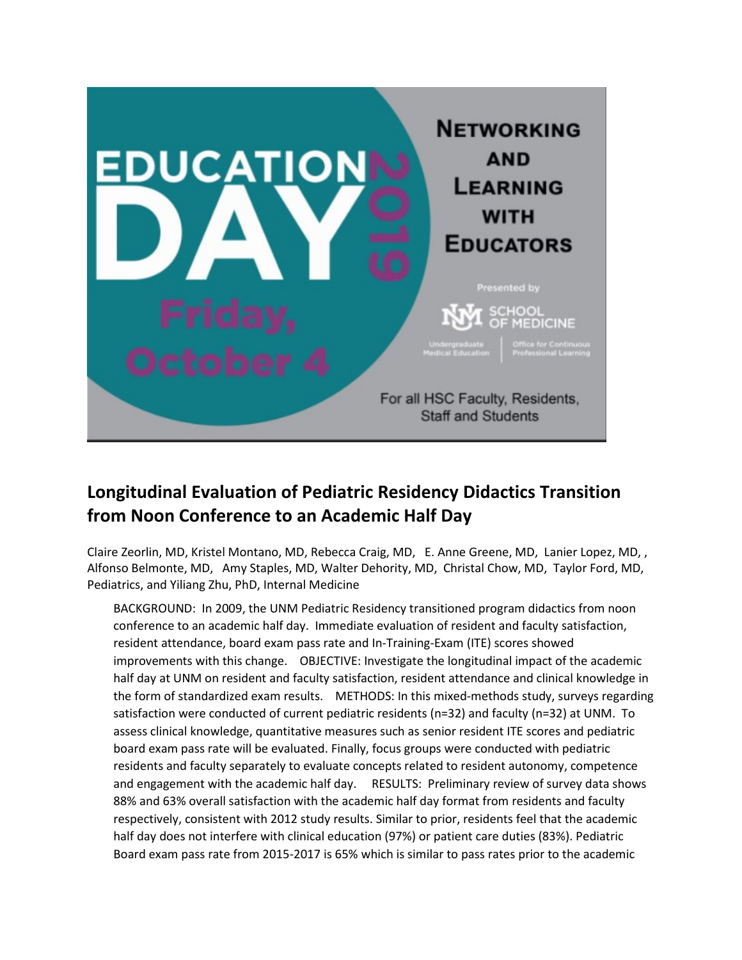

# **Longitudinal Evaluation of Pediatric Residency Didactics Transition from Noon Conference to an Academic Half Day**

Claire Zeorlin, MD, Kristel Montano, MD, Rebecca Craig, MD, E. Anne Greene, MD, Lanier Lopez, MD, , Alfonso Belmonte, MD, Amy Staples, MD, Walter Dehority, MD, Christal Chow, MD, Taylor Ford, MD, Pediatrics, and Yiliang Zhu, PhD, Internal Medicine

BACKGROUND: In 2009, the UNM Pediatric Residency transitioned program didactics from noon conference to an academic half day. Immediate evaluation of resident and faculty satisfaction, resident attendance, board exam pass rate and In-Training-Exam (ITE) scores showed improvements with this change. OBJECTIVE: Investigate the longitudinal impact of the academic half day at UNM on resident and faculty satisfaction, resident attendance and clinical knowledge in the form of standardized exam results. METHODS: In this mixed-methods study, surveys regarding satisfaction were conducted of current pediatric residents (n=32) and faculty (n=32) at UNM. To assess clinical knowledge, quantitative measures such as senior resident ITE scores and pediatric board exam pass rate will be evaluated. Finally, focus groups were conducted with pediatric residents and faculty separately to evaluate concepts related to resident autonomy, competence and engagement with the academic half day. RESULTS: Preliminary review of survey data shows 88% and 63% overall satisfaction with the academic half day format from residents and faculty respectively, consistent with 2012 study results. Similar to prior, residents feel that the academic half day does not interfere with clinical education (97%) or patient care duties (83%). Pediatric Board exam pass rate from 2015-2017 is 65% which is similar to pass rates prior to the academic